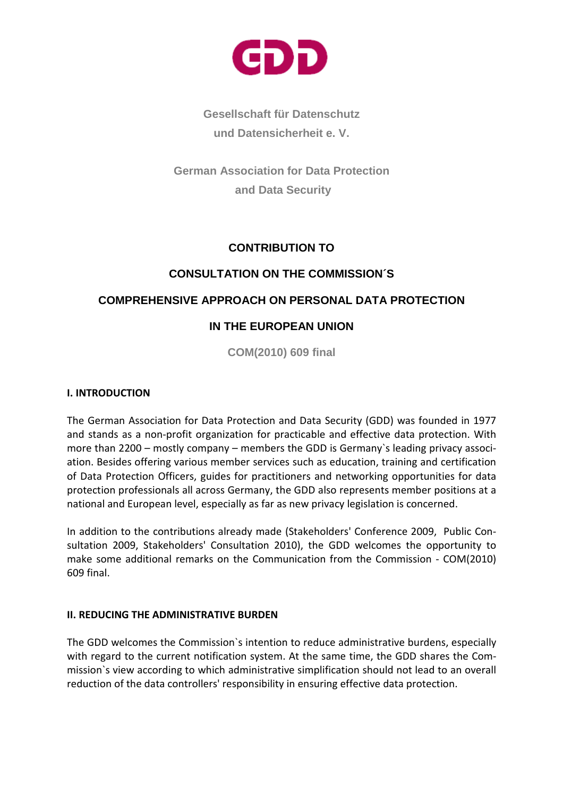

**Gesellschaft für Datenschutz und Datensicherheit e. V.** 

**German Association for Data Protection and Data Security** 

# **CONTRIBUTION TO**

## **CONSULTATION ON THE COMMISSION´S**

## **COMPREHENSIVE APPROACH ON PERSONAL DATA PROTECTION**

# **IN THE EUROPEAN UNION**

**COM(2010) 609 final**

#### I. INTRODUCTION

The German Association for Data Protection and Data Security (GDD) was founded in 1977 and stands as a non-profit organization for practicable and effective data protection. With more than 2200 – mostly company – members the GDD is Germany`s leading privacy association. Besides offering various member services such as education, training and certification of Data Protection Officers, guides for practitioners and networking opportunities for data protection professionals all across Germany, the GDD also represents member positions at a national and European level, especially as far as new privacy legislation is concerned.

In addition to the contributions already made (Stakeholders' Conference 2009, Public Consultation 2009, Stakeholders' Consultation 2010), the GDD welcomes the opportunity to make some additional remarks on the Communication from the Commission - COM(2010) 609 final.

#### II. REDUCING THE ADMINISTRATIVE BURDEN

The GDD welcomes the Commission`s intention to reduce administrative burdens, especially with regard to the current notification system. At the same time, the GDD shares the Commission`s view according to which administrative simplification should not lead to an overall reduction of the data controllers' responsibility in ensuring effective data protection.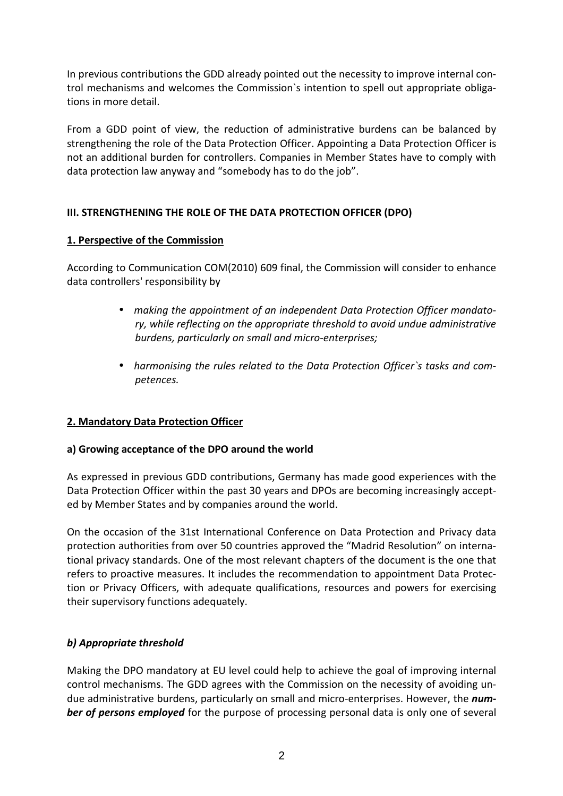In previous contributions the GDD already pointed out the necessity to improve internal control mechanisms and welcomes the Commission`s intention to spell out appropriate obligations in more detail.

From a GDD point of view, the reduction of administrative burdens can be balanced by strengthening the role of the Data Protection Officer. Appointing a Data Protection Officer is not an additional burden for controllers. Companies in Member States have to comply with data protection law anyway and "somebody has to do the job".

# III. STRENGTHENING THE ROLE OF THE DATA PROTECTION OFFICER (DPO)

### 1. Perspective of the Commission

According to Communication COM(2010) 609 final, the Commission will consider to enhance data controllers' responsibility by

- making the appointment of an independent Data Protection Officer mandatory, while reflecting on the appropriate threshold to avoid undue administrative burdens, particularly on small and micro-enterprises;
- harmonising the rules related to the Data Protection Officer`s tasks and competences.

### 2. Mandatory Data Protection Officer

### a) Growing acceptance of the DPO around the world

As expressed in previous GDD contributions, Germany has made good experiences with the Data Protection Officer within the past 30 years and DPOs are becoming increasingly accepted by Member States and by companies around the world.

On the occasion of the 31st International Conference on Data Protection and Privacy data protection authorities from over 50 countries approved the "Madrid Resolution" on international privacy standards. One of the most relevant chapters of the document is the one that refers to proactive measures. It includes the recommendation to appointment Data Protection or Privacy Officers, with adequate qualifications, resources and powers for exercising their supervisory functions adequately.

# b) Appropriate threshold

Making the DPO mandatory at EU level could help to achieve the goal of improving internal control mechanisms. The GDD agrees with the Commission on the necessity of avoiding undue administrative burdens, particularly on small and micro-enterprises. However, the number of persons employed for the purpose of processing personal data is only one of several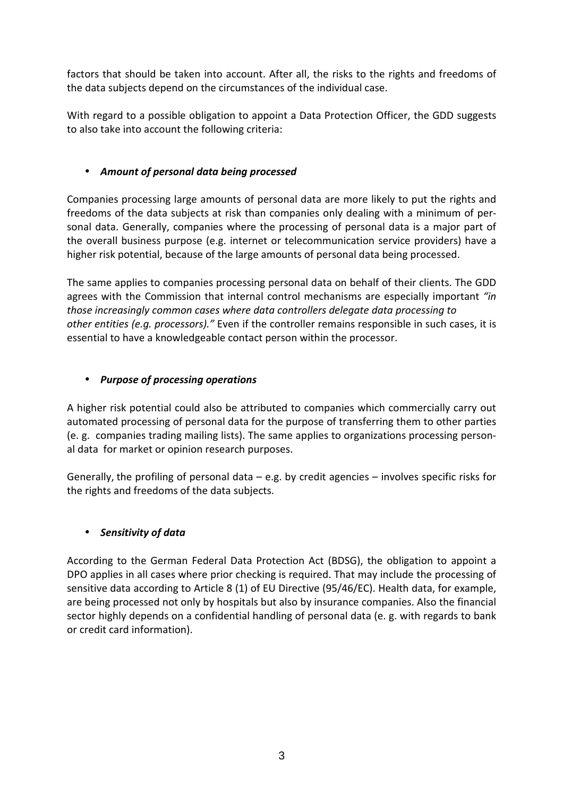factors that should be taken into account. After all, the risks to the rights and freedoms of the data subjects depend on the circumstances of the individual case.

With regard to a possible obligation to appoint a Data Protection Officer, the GDD suggests to also take into account the following criteria:

## • Amount of personal data being processed

Companies processing large amounts of personal data are more likely to put the rights and freedoms of the data subjects at risk than companies only dealing with a minimum of personal data. Generally, companies where the processing of personal data is a major part of the overall business purpose (e.g. internet or telecommunication service providers) have a higher risk potential, because of the large amounts of personal data being processed.

The same applies to companies processing personal data on behalf of their clients. The GDD agrees with the Commission that internal control mechanisms are especially important "in those increasingly common cases where data controllers delegate data processing to other entities (e.g. processors)." Even if the controller remains responsible in such cases, it is essential to have a knowledgeable contact person within the processor.

## • Purpose of processing operations

A higher risk potential could also be attributed to companies which commercially carry out automated processing of personal data for the purpose of transferring them to other parties (e. g. companies trading mailing lists). The same applies to organizations processing personal data for market or opinion research purposes.

Generally, the profiling of personal data  $-$  e.g. by credit agencies  $-$  involves specific risks for the rights and freedoms of the data subjects.

### • Sensitivity of data

According to the German Federal Data Protection Act (BDSG), the obligation to appoint a DPO applies in all cases where prior checking is required. That may include the processing of sensitive data according to Article 8 (1) of EU Directive (95/46/EC). Health data, for example, are being processed not only by hospitals but also by insurance companies. Also the financial sector highly depends on a confidential handling of personal data (e. g. with regards to bank or credit card information).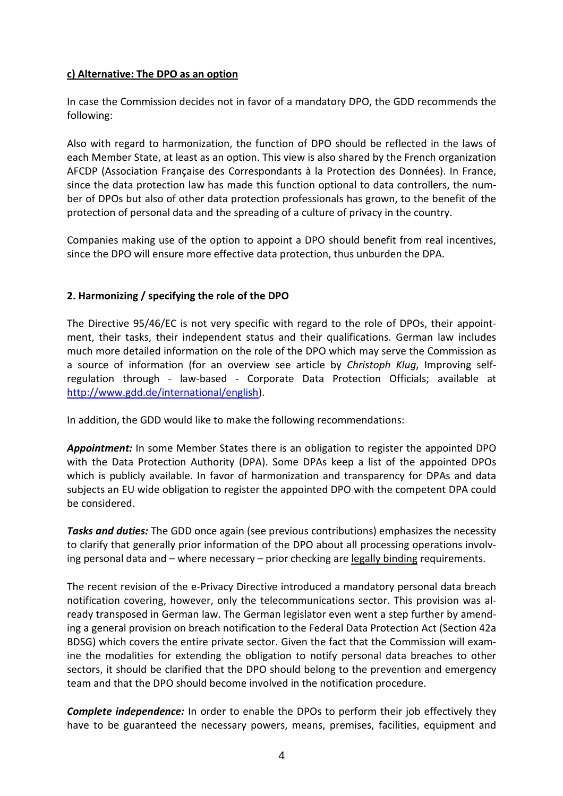#### c) Alternative: The DPO as an option

In case the Commission decides not in favor of a mandatory DPO, the GDD recommends the following:

Also with regard to harmonization, the function of DPO should be reflected in the laws of each Member State, at least as an option. This view is also shared by the French organization AFCDP (Association Française des Correspondants à la Protection des Données). In France, since the data protection law has made this function optional to data controllers, the number of DPOs but also of other data protection professionals has grown, to the benefit of the protection of personal data and the spreading of a culture of privacy in the country.

Companies making use of the option to appoint a DPO should benefit from real incentives, since the DPO will ensure more effective data protection, thus unburden the DPA.

### 2. Harmonizing / specifying the role of the DPO

The Directive 95/46/EC is not very specific with regard to the role of DPOs, their appointment, their tasks, their independent status and their qualifications. German law includes much more detailed information on the role of the DPO which may serve the Commission as a source of information (for an overview see article by Christoph Klug, Improving selfregulation through - law-based - Corporate Data Protection Officials; available at http://www.gdd.de/international/english).

In addition, the GDD would like to make the following recommendations:

**Appointment:** In some Member States there is an obligation to register the appointed DPO with the Data Protection Authority (DPA). Some DPAs keep a list of the appointed DPOs which is publicly available. In favor of harmonization and transparency for DPAs and data subjects an EU wide obligation to register the appointed DPO with the competent DPA could be considered.

**Tasks and duties:** The GDD once again (see previous contributions) emphasizes the necessity to clarify that generally prior information of the DPO about all processing operations involving personal data and – where necessary – prior checking are legally binding requirements.

The recent revision of the e-Privacy Directive introduced a mandatory personal data breach notification covering, however, only the telecommunications sector. This provision was already transposed in German law. The German legislator even went a step further by amending a general provision on breach notification to the Federal Data Protection Act (Section 42a BDSG) which covers the entire private sector. Given the fact that the Commission will examine the modalities for extending the obligation to notify personal data breaches to other sectors, it should be clarified that the DPO should belong to the prevention and emergency team and that the DPO should become involved in the notification procedure.

**Complete independence:** In order to enable the DPOs to perform their job effectively they have to be guaranteed the necessary powers, means, premises, facilities, equipment and